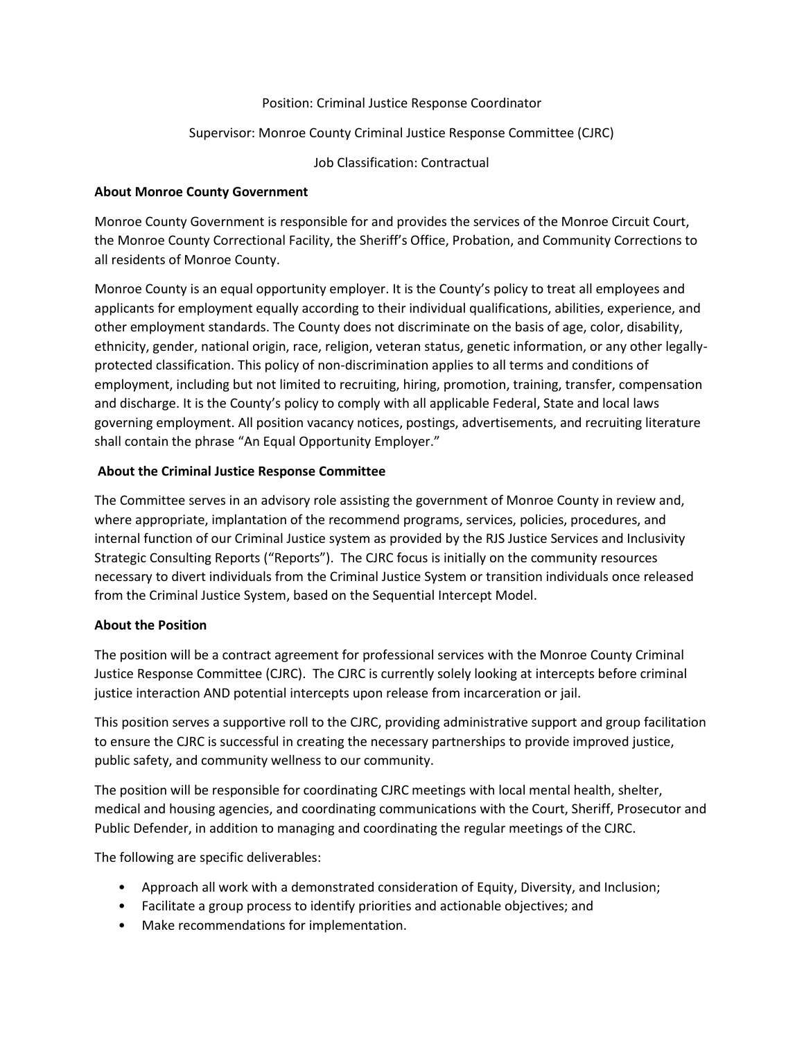#### Position: Criminal Justice Response Coordinator

### Supervisor: Monroe County Criminal Justice Response Committee (CJRC)

Job Classification: Contractual

## **About Monroe County Government**

Monroe County Government is responsible for and provides the services of the Monroe Circuit Court, the Monroe County Correctional Facility, the Sheriff's Office, Probation, and Community Corrections to all residents of Monroe County.

Monroe County is an equal opportunity employer. It is the County's policy to treat all employees and applicants for employment equally according to their individual qualifications, abilities, experience, and other employment standards. The County does not discriminate on the basis of age, color, disability, ethnicity, gender, national origin, race, religion, veteran status, genetic information, or any other legallyprotected classification. This policy of non-discrimination applies to all terms and conditions of employment, including but not limited to recruiting, hiring, promotion, training, transfer, compensation and discharge. It is the County's policy to comply with all applicable Federal, State and local laws governing employment. All position vacancy notices, postings, advertisements, and recruiting literature shall contain the phrase "An Equal Opportunity Employer."

### **About the Criminal Justice Response Committee**

The Committee serves in an advisory role assisting the government of Monroe County in review and, where appropriate, implantation of the recommend programs, services, policies, procedures, and internal function of our Criminal Justice system as provided by the RJS Justice Services and Inclusivity Strategic Consulting Reports ("Reports"). The CJRC focus is initially on the community resources necessary to divert individuals from the Criminal Justice System or transition individuals once released from the Criminal Justice System, based on the Sequential Intercept Model.

## **About the Position**

The position will be a contract agreement for professional services with the Monroe County Criminal Justice Response Committee (CJRC). The CJRC is currently solely looking at intercepts before criminal justice interaction AND potential intercepts upon release from incarceration or jail.

This position serves a supportive roll to the CJRC, providing administrative support and group facilitation to ensure the CJRC is successful in creating the necessary partnerships to provide improved justice, public safety, and community wellness to our community.

The position will be responsible for coordinating CJRC meetings with local mental health, shelter, medical and housing agencies, and coordinating communications with the Court, Sheriff, Prosecutor and Public Defender, in addition to managing and coordinating the regular meetings of the CJRC.

The following are specific deliverables:

- Approach all work with a demonstrated consideration of Equity, Diversity, and Inclusion;
- Facilitate a group process to identify priorities and actionable objectives; and
- Make recommendations for implementation.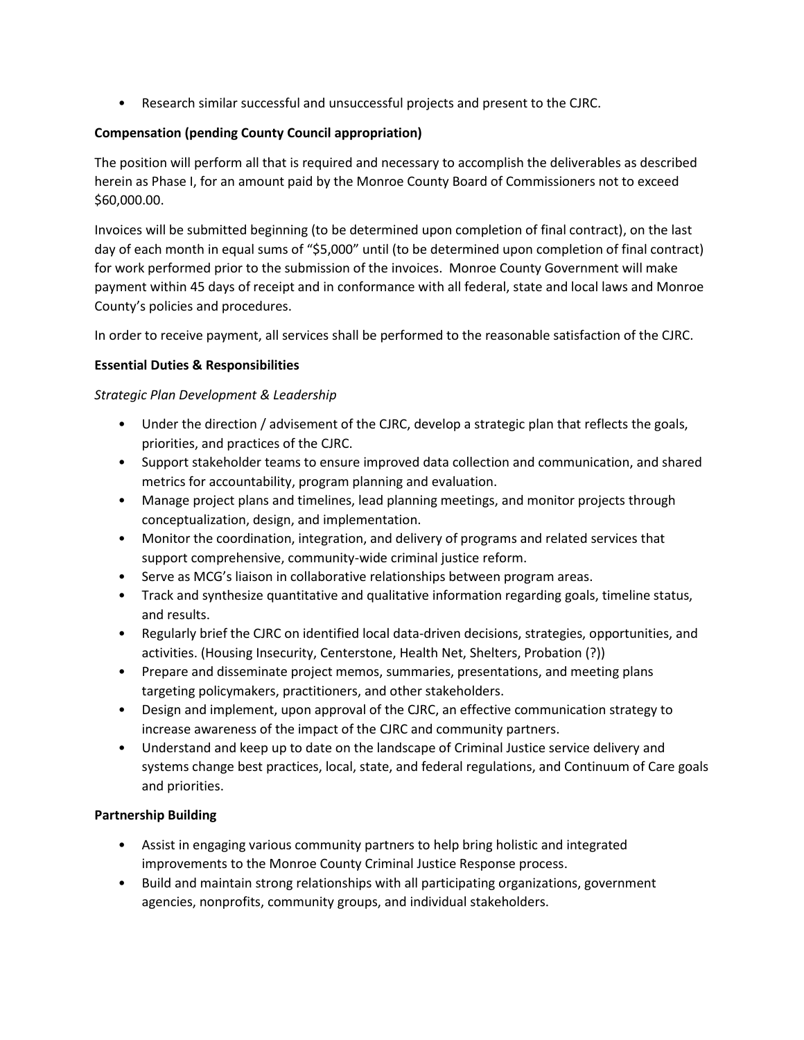• Research similar successful and unsuccessful projects and present to the CJRC.

## **Compensation (pending County Council appropriation)**

The position will perform all that is required and necessary to accomplish the deliverables as described herein as Phase I, for an amount paid by the Monroe County Board of Commissioners not to exceed \$60,000.00.

Invoices will be submitted beginning (to be determined upon completion of final contract), on the last day of each month in equal sums of "\$5,000" until (to be determined upon completion of final contract) for work performed prior to the submission of the invoices. Monroe County Government will make payment within 45 days of receipt and in conformance with all federal, state and local laws and Monroe County's policies and procedures.

In order to receive payment, all services shall be performed to the reasonable satisfaction of the CJRC.

## **Essential Duties & Responsibilities**

## *Strategic Plan Development & Leadership*

- Under the direction / advisement of the CJRC, develop a strategic plan that reflects the goals, priorities, and practices of the CJRC.
- Support stakeholder teams to ensure improved data collection and communication, and shared metrics for accountability, program planning and evaluation.
- Manage project plans and timelines, lead planning meetings, and monitor projects through conceptualization, design, and implementation.
- Monitor the coordination, integration, and delivery of programs and related services that support comprehensive, community-wide criminal justice reform.
- Serve as MCG's liaison in collaborative relationships between program areas.
- Track and synthesize quantitative and qualitative information regarding goals, timeline status, and results.
- Regularly brief the CJRC on identified local data-driven decisions, strategies, opportunities, and activities. (Housing Insecurity, Centerstone, Health Net, Shelters, Probation (?))
- Prepare and disseminate project memos, summaries, presentations, and meeting plans targeting policymakers, practitioners, and other stakeholders.
- Design and implement, upon approval of the CJRC, an effective communication strategy to increase awareness of the impact of the CJRC and community partners.
- Understand and keep up to date on the landscape of Criminal Justice service delivery and systems change best practices, local, state, and federal regulations, and Continuum of Care goals and priorities.

# **Partnership Building**

- Assist in engaging various community partners to help bring holistic and integrated improvements to the Monroe County Criminal Justice Response process.
- Build and maintain strong relationships with all participating organizations, government agencies, nonprofits, community groups, and individual stakeholders.